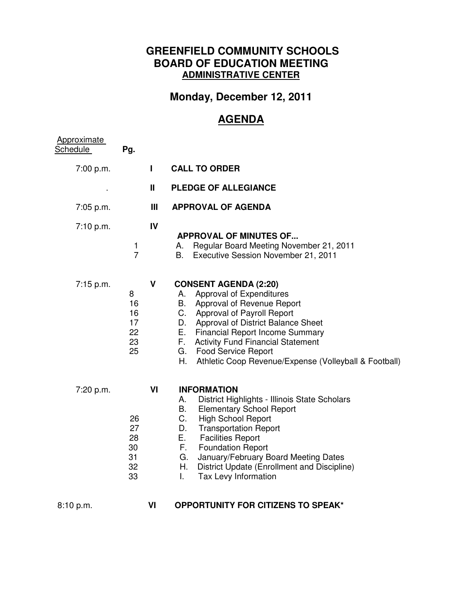## **GREENFIELD COMMUNITY SCHOOLS BOARD OF EDUCATION MEETING ADMINISTRATIVE CENTER**

## **Monday, December 12, 2011**

## **AGENDA**

| <b>Approximate</b><br>Schedule | Pg.                                    |             |                                                                                                                                                                                                                                                                                                                                                                              |
|--------------------------------|----------------------------------------|-------------|------------------------------------------------------------------------------------------------------------------------------------------------------------------------------------------------------------------------------------------------------------------------------------------------------------------------------------------------------------------------------|
| 7:00 p.m.                      |                                        | Н           | <b>CALL TO ORDER</b>                                                                                                                                                                                                                                                                                                                                                         |
|                                |                                        | Ш           | <b>PLEDGE OF ALLEGIANCE</b>                                                                                                                                                                                                                                                                                                                                                  |
| 7:05 p.m.                      |                                        | Ш           | <b>APPROVAL OF AGENDA</b>                                                                                                                                                                                                                                                                                                                                                    |
| 7:10 p.m.                      | 1<br>$\overline{7}$                    | IV          | <b>APPROVAL OF MINUTES OF</b><br>Regular Board Meeting November 21, 2011<br>А.<br>Executive Session November 21, 2011<br>В.                                                                                                                                                                                                                                                  |
| 7:15 p.m.                      | 8<br>16<br>16<br>17<br>22<br>23<br>25  | $\mathbf v$ | <b>CONSENT AGENDA (2:20)</b><br>Approval of Expenditures<br>А.<br>Approval of Revenue Report<br>В.<br>$C_{-}$<br><b>Approval of Payroll Report</b><br>D. Approval of District Balance Sheet<br>E. Financial Report Income Summary<br>F. Activity Fund Financial Statement<br>G. Food Service Report<br>Η.<br>Athletic Coop Revenue/Expense (Volleyball & Football)           |
| 7:20 p.m.                      | 26<br>27<br>28<br>30<br>31<br>32<br>33 | VI          | <b>INFORMATION</b><br>District Highlights - Illinois State Scholars<br>А.<br>В.<br><b>Elementary School Report</b><br>C.<br><b>High School Report</b><br><b>Transportation Report</b><br>D.<br>E. Facilities Report<br>F. Foundation Report<br>January/February Board Meeting Dates<br>G.<br>H.<br>District Update (Enrollment and Discipline)<br>Tax Levy Information<br>L. |
| 8:10 p.m.                      |                                        | VI          | <b>OPPORTUNITY FOR CITIZENS TO SPEAK*</b>                                                                                                                                                                                                                                                                                                                                    |